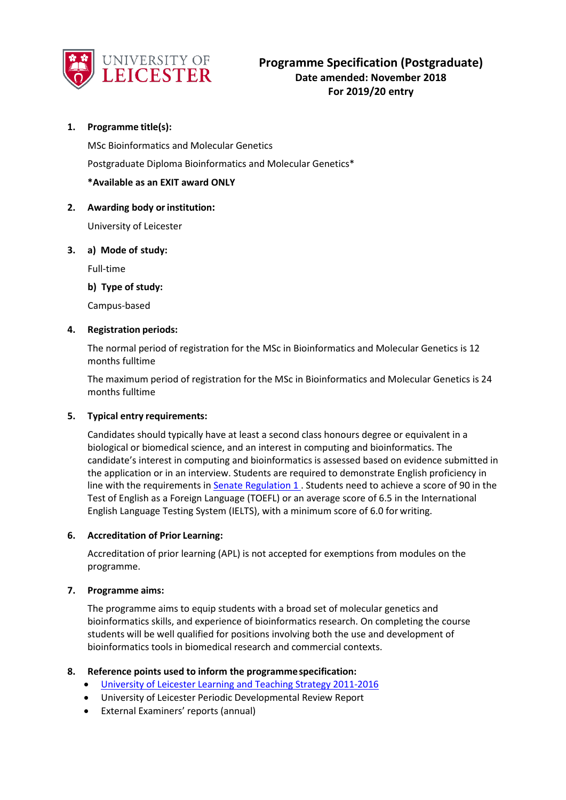

## **1. Programme title(s):**

MSc Bioinformatics and Molecular Genetics Postgraduate Diploma Bioinformatics and Molecular Genetics\* **\*Available as an EXIT award ONLY**

#### **2. Awarding body orinstitution:**

University of Leicester

#### **3. a) Mode of study:**

Full-time

**b) Type of study:**

Campus-based

#### **4. Registration periods:**

The normal period of registration for the MSc in Bioinformatics and Molecular Genetics is 12 months fulltime

The maximum period of registration for the MSc in Bioinformatics and Molecular Genetics is 24 months fulltime

#### **5. Typical entry requirements:**

Candidates should typically have at least a second class honours degree or equivalent in a biological or biomedical science, and an interest in computing and bioinformatics. The candidate's interest in computing and bioinformatics is assessed based on evidence submitted in the application or in an interview. Students are required to demonstrate English proficiency in line with the requirements i[n Senate Regulation 1 .](http://www.le.ac.uk/senate-regulation1) Students need to achieve a score of 90 in the Test of English as a Foreign Language (TOEFL) or an average score of 6.5 in the International English Language Testing System (IELTS), with a minimum score of 6.0 for writing.

#### **6. Accreditation of Prior Learning:**

Accreditation of prior learning (APL) is not accepted for exemptions from modules on the programme.

#### **7. Programme aims:**

The programme aims to equip students with a broad set of molecular genetics and bioinformatics skills, and experience of bioinformatics research. On completing the course students will be well qualified for positions involving both the use and development of bioinformatics tools in biomedical research and commercial contexts.

#### **8. Reference points used to inform the programmespecification:**

- University of Leicester Learning [and Teaching Strategy 2011-2016](http://www2.le.ac.uk/offices/sas2/quality/learnteach)
- University of Leicester Periodic Developmental Review Report
- External Examiners' reports (annual)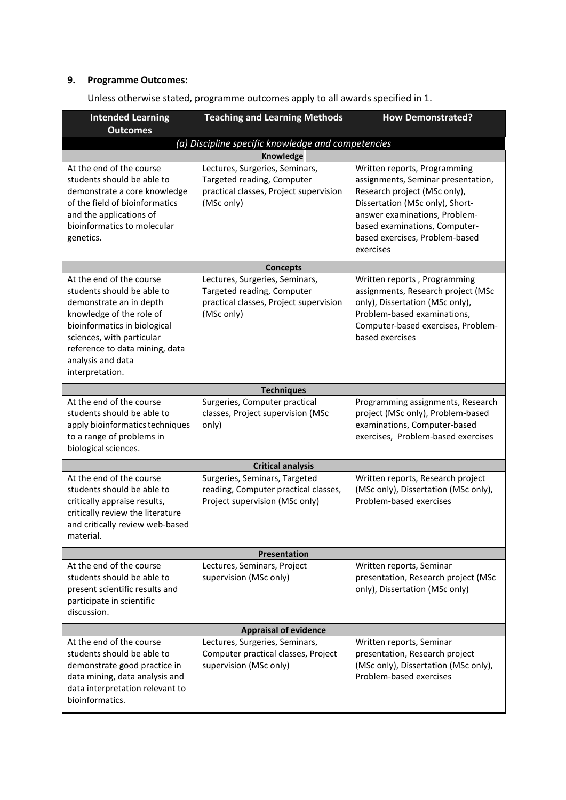# **9. Programme Outcomes:**

| <b>Intended Learning</b><br><b>Outcomes</b>                                                                                                                                                                                                          | <b>Teaching and Learning Methods</b>                                                                                 | <b>How Demonstrated?</b>                                                                                                                                                                                                                               |  |  |  |
|------------------------------------------------------------------------------------------------------------------------------------------------------------------------------------------------------------------------------------------------------|----------------------------------------------------------------------------------------------------------------------|--------------------------------------------------------------------------------------------------------------------------------------------------------------------------------------------------------------------------------------------------------|--|--|--|
|                                                                                                                                                                                                                                                      | (a) Discipline specific knowledge and competencies                                                                   |                                                                                                                                                                                                                                                        |  |  |  |
|                                                                                                                                                                                                                                                      | Knowledge                                                                                                            |                                                                                                                                                                                                                                                        |  |  |  |
| At the end of the course<br>students should be able to<br>demonstrate a core knowledge<br>of the field of bioinformatics<br>and the applications of<br>bioinformatics to molecular<br>genetics.                                                      | Lectures, Surgeries, Seminars,<br>Targeted reading, Computer<br>practical classes, Project supervision<br>(MSc only) | Written reports, Programming<br>assignments, Seminar presentation,<br>Research project (MSc only),<br>Dissertation (MSc only), Short-<br>answer examinations, Problem-<br>based examinations, Computer-<br>based exercises, Problem-based<br>exercises |  |  |  |
| <b>Concepts</b>                                                                                                                                                                                                                                      |                                                                                                                      |                                                                                                                                                                                                                                                        |  |  |  |
| At the end of the course<br>students should be able to<br>demonstrate an in depth<br>knowledge of the role of<br>bioinformatics in biological<br>sciences, with particular<br>reference to data mining, data<br>analysis and data<br>interpretation. | Lectures, Surgeries, Seminars,<br>Targeted reading, Computer<br>practical classes, Project supervision<br>(MSc only) | Written reports, Programming<br>assignments, Research project (MSc<br>only), Dissertation (MSc only),<br>Problem-based examinations,<br>Computer-based exercises, Problem-<br>based exercises                                                          |  |  |  |
|                                                                                                                                                                                                                                                      | <b>Techniques</b>                                                                                                    |                                                                                                                                                                                                                                                        |  |  |  |
| At the end of the course<br>students should be able to<br>apply bioinformatics techniques<br>to a range of problems in<br>biological sciences.                                                                                                       | Surgeries, Computer practical<br>classes, Project supervision (MSc<br>only)                                          | Programming assignments, Research<br>project (MSc only), Problem-based<br>examinations, Computer-based<br>exercises, Problem-based exercises                                                                                                           |  |  |  |
|                                                                                                                                                                                                                                                      | <b>Critical analysis</b>                                                                                             |                                                                                                                                                                                                                                                        |  |  |  |
| At the end of the course<br>students should be able to<br>critically appraise results,<br>critically review the literature<br>and critically review web-based<br>material.                                                                           | Surgeries, Seminars, Targeted<br>reading, Computer practical classes,<br>Project supervision (MSc only)              | Written reports, Research project<br>(MSc only), Dissertation (MSc only),<br>Problem-based exercises                                                                                                                                                   |  |  |  |
|                                                                                                                                                                                                                                                      | <b>Presentation</b>                                                                                                  |                                                                                                                                                                                                                                                        |  |  |  |
| At the end of the course<br>students should be able to<br>present scientific results and<br>participate in scientific<br>discussion.                                                                                                                 | Lectures, Seminars, Project<br>supervision (MSc only)                                                                | Written reports, Seminar<br>presentation, Research project (MSc<br>only), Dissertation (MSc only)                                                                                                                                                      |  |  |  |
| <b>Appraisal of evidence</b>                                                                                                                                                                                                                         |                                                                                                                      |                                                                                                                                                                                                                                                        |  |  |  |
| At the end of the course<br>students should be able to<br>demonstrate good practice in<br>data mining, data analysis and<br>data interpretation relevant to<br>bioinformatics.                                                                       | Lectures, Surgeries, Seminars,<br>Computer practical classes, Project<br>supervision (MSc only)                      | Written reports, Seminar<br>presentation, Research project<br>(MSc only), Dissertation (MSc only),<br>Problem-based exercises                                                                                                                          |  |  |  |

Unless otherwise stated, programme outcomes apply to all awards specified in 1.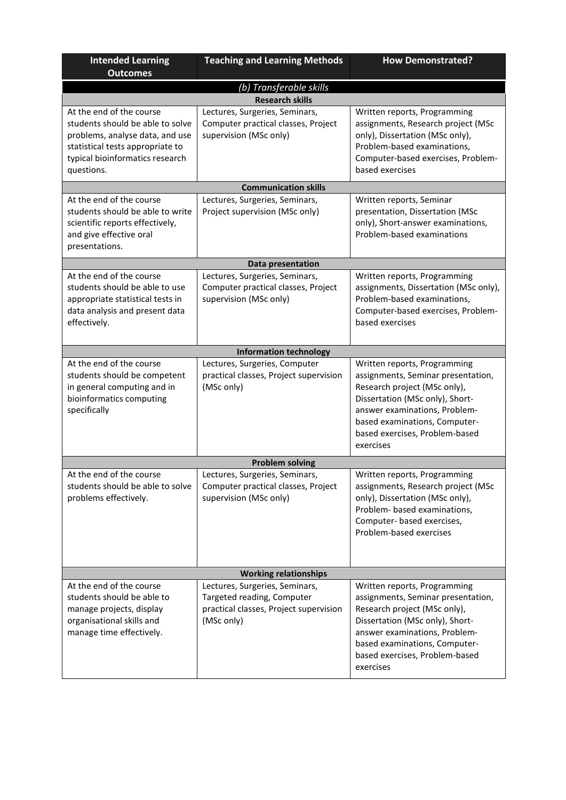| <b>Intended Learning</b><br><b>Outcomes</b>                                                                                                                                          | <b>Teaching and Learning Methods</b>                                                                                 | <b>How Demonstrated?</b>                                                                                                                                                                                                                               |  |  |  |
|--------------------------------------------------------------------------------------------------------------------------------------------------------------------------------------|----------------------------------------------------------------------------------------------------------------------|--------------------------------------------------------------------------------------------------------------------------------------------------------------------------------------------------------------------------------------------------------|--|--|--|
| (b) Transferable skills                                                                                                                                                              |                                                                                                                      |                                                                                                                                                                                                                                                        |  |  |  |
|                                                                                                                                                                                      | <b>Research skills</b>                                                                                               |                                                                                                                                                                                                                                                        |  |  |  |
| At the end of the course<br>students should be able to solve<br>problems, analyse data, and use<br>statistical tests appropriate to<br>typical bioinformatics research<br>questions. | Lectures, Surgeries, Seminars,<br>Computer practical classes, Project<br>supervision (MSc only)                      | Written reports, Programming<br>assignments, Research project (MSc<br>only), Dissertation (MSc only),<br>Problem-based examinations,<br>Computer-based exercises, Problem-<br>based exercises                                                          |  |  |  |
|                                                                                                                                                                                      | <b>Communication skills</b>                                                                                          |                                                                                                                                                                                                                                                        |  |  |  |
| At the end of the course<br>students should be able to write<br>scientific reports effectively,<br>and give effective oral<br>presentations.                                         | Lectures, Surgeries, Seminars,<br>Project supervision (MSc only)                                                     | Written reports, Seminar<br>presentation, Dissertation (MSc<br>only), Short-answer examinations,<br>Problem-based examinations                                                                                                                         |  |  |  |
| Data presentation                                                                                                                                                                    |                                                                                                                      |                                                                                                                                                                                                                                                        |  |  |  |
| At the end of the course<br>students should be able to use<br>appropriate statistical tests in<br>data analysis and present data<br>effectively.                                     | Lectures, Surgeries, Seminars,<br>Computer practical classes, Project<br>supervision (MSc only)                      | Written reports, Programming<br>assignments, Dissertation (MSc only),<br>Problem-based examinations,<br>Computer-based exercises, Problem-<br>based exercises                                                                                          |  |  |  |
|                                                                                                                                                                                      | <b>Information technology</b>                                                                                        |                                                                                                                                                                                                                                                        |  |  |  |
| At the end of the course<br>students should be competent<br>in general computing and in<br>bioinformatics computing<br>specifically                                                  | Lectures, Surgeries, Computer<br>practical classes, Project supervision<br>(MSc only)                                | Written reports, Programming<br>assignments, Seminar presentation,<br>Research project (MSc only),<br>Dissertation (MSc only), Short-<br>answer examinations, Problem-<br>based examinations, Computer-<br>based exercises, Problem-based<br>exercises |  |  |  |
|                                                                                                                                                                                      | <b>Problem solving</b>                                                                                               |                                                                                                                                                                                                                                                        |  |  |  |
| At the end of the course<br>students should be able to solve<br>problems effectively.                                                                                                | Lectures, Surgeries, Seminars,<br>Computer practical classes, Project<br>supervision (MSc only)                      | Written reports, Programming<br>assignments, Research project (MSc<br>only), Dissertation (MSc only),<br>Problem- based examinations,<br>Computer- based exercises,<br>Problem-based exercises                                                         |  |  |  |
|                                                                                                                                                                                      | <b>Working relationships</b>                                                                                         |                                                                                                                                                                                                                                                        |  |  |  |
| At the end of the course<br>students should be able to<br>manage projects, display<br>organisational skills and<br>manage time effectively.                                          | Lectures, Surgeries, Seminars,<br>Targeted reading, Computer<br>practical classes, Project supervision<br>(MSc only) | Written reports, Programming<br>assignments, Seminar presentation,<br>Research project (MSc only),<br>Dissertation (MSc only), Short-<br>answer examinations, Problem-<br>based examinations, Computer-<br>based exercises, Problem-based<br>exercises |  |  |  |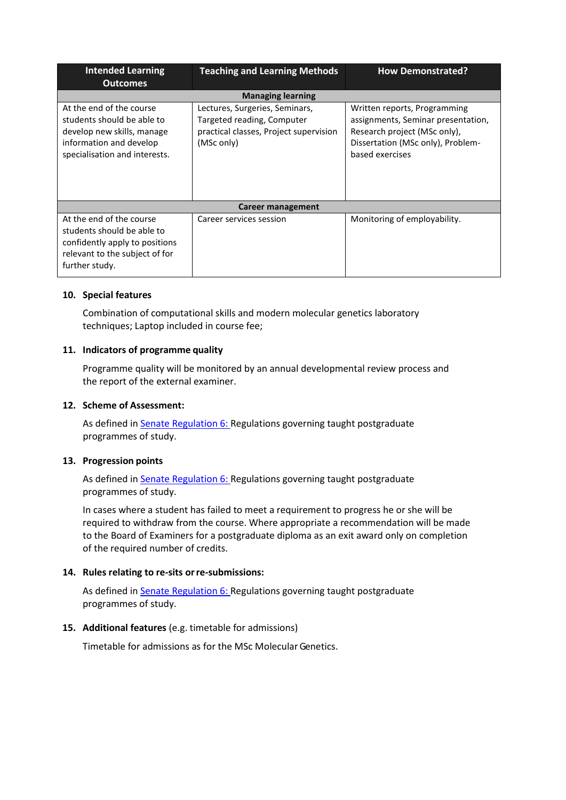| <b>Intended Learning</b><br><b>Outcomes</b>                                                                                                      | <b>Teaching and Learning Methods</b>                                                                                 | <b>How Demonstrated?</b>                                                                                                                                   |  |  |  |
|--------------------------------------------------------------------------------------------------------------------------------------------------|----------------------------------------------------------------------------------------------------------------------|------------------------------------------------------------------------------------------------------------------------------------------------------------|--|--|--|
| <b>Managing learning</b>                                                                                                                         |                                                                                                                      |                                                                                                                                                            |  |  |  |
| At the end of the course<br>students should be able to<br>develop new skills, manage<br>information and develop<br>specialisation and interests. | Lectures, Surgeries, Seminars,<br>Targeted reading, Computer<br>practical classes, Project supervision<br>(MSc only) | Written reports, Programming<br>assignments, Seminar presentation,<br>Research project (MSc only),<br>Dissertation (MSc only), Problem-<br>based exercises |  |  |  |
| Career management                                                                                                                                |                                                                                                                      |                                                                                                                                                            |  |  |  |
| At the end of the course<br>students should be able to<br>confidently apply to positions<br>relevant to the subject of for<br>further study.     | Career services session                                                                                              | Monitoring of employability.                                                                                                                               |  |  |  |

## **10. Special features**

Combination of computational skills and modern molecular genetics laboratory techniques; Laptop included in course fee;

## **11. Indicators of programme quality**

Programme quality will be monitored by an annual developmental review process and the report of the external examiner.

## **12. Scheme of Assessment:**

As defined in **Senate Regulation 6: Regulations governing taught postgraduate** programmes of study.

#### **13. Progression points**

As defined in **Senate Regulation 6: Regulations governing taught postgraduate** programmes of study.

In cases where a student has failed to meet a requirement to progress he or she will be required to withdraw from the course. Where appropriate a recommendation will be made to the Board of Examiners for a postgraduate diploma as an exit award only on completion of the required number of credits.

#### **14. Rules relating to re-sits orre-submissions:**

As defined in **Senate Regulation 6: Regulations governing taught postgraduate** programmes of study.

## **15. Additional features** (e.g. timetable for admissions)

Timetable for admissions as for the MSc Molecular Genetics.